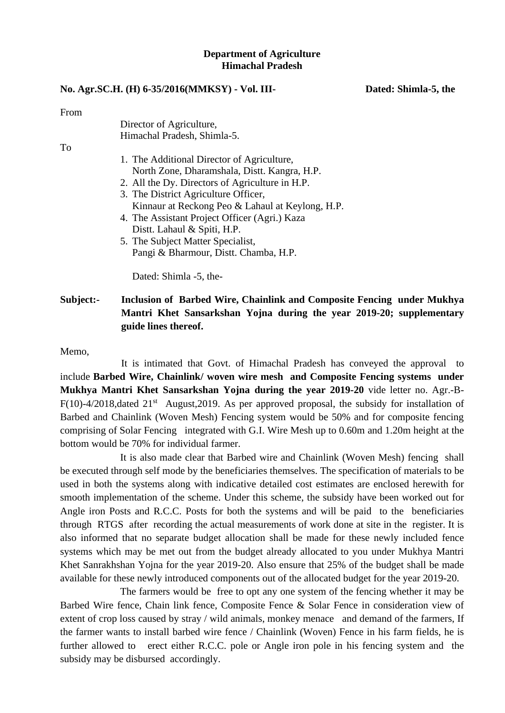### **Department of Agriculture Himachal Pradesh**

#### **No. Agr.SC.H. (H) 6-35/2016(MMKSY) - Vol. III- Dated: Shimla-5, the**

From

|    | Director of Agriculture,                         |
|----|--------------------------------------------------|
|    | Himachal Pradesh, Shimla-5.                      |
| To |                                                  |
|    | 1. The Additional Director of Agriculture,       |
|    | North Zone, Dharamshala, Distt. Kangra, H.P.     |
|    | 2. All the Dy. Directors of Agriculture in H.P.  |
|    | 3. The District Agriculture Officer,             |
|    | Kinnaur at Reckong Peo & Lahaul at Keylong, H.P. |
|    | 4. The Assistant Project Officer (Agri.) Kaza    |
|    | Distt. Lahaul & Spiti, H.P.                      |
|    | 5. The Subject Matter Specialist,                |
|    | Pangi & Bharmour, Distt. Chamba, H.P.            |
|    |                                                  |
|    | Dated: Shimla -5, the-                           |
|    |                                                  |

**Subject:- Inclusion of Barbed Wire, Chainlink and Composite Fencing under Mukhya Mantri Khet Sansarkshan Yojna during the year 2019-20; supplementary guide lines thereof.**

Memo,

It is intimated that Govt. of Himachal Pradesh has conveyed the approval to include **Barbed Wire, Chainlink/ woven wire mesh and Composite Fencing systems under Mukhya Mantri Khet Sansarkshan Yojna during the year 2019-20** vide letter no. Agr.-B- $F(10)$ -4/2018, dated  $21<sup>st</sup>$  August, 2019. As per approved proposal, the subsidy for installation of Barbed and Chainlink (Woven Mesh) Fencing system would be 50% and for composite fencing comprising of Solar Fencing integrated with G.I. Wire Mesh up to 0.60m and 1.20m height at the bottom would be 70% for individual farmer.

It is also made clear that Barbed wire and Chainlink (Woven Mesh) fencing shall be executed through self mode by the beneficiaries themselves. The specification of materials to be used in both the systems along with indicative detailed cost estimates are enclosed herewith for smooth implementation of the scheme. Under this scheme, the subsidy have been worked out for Angle iron Posts and R.C.C. Posts for both the systems and will be paid to the beneficiaries through RTGS after recording the actual measurements of work done at site in the register. It is also informed that no separate budget allocation shall be made for these newly included fence systems which may be met out from the budget already allocated to you under Mukhya Mantri Khet Sanrakhshan Yojna for the year 2019-20. Also ensure that 25% of the budget shall be made available for these newly introduced components out of the allocated budget for the year 2019-20.

The farmers would be free to opt any one system of the fencing whether it may be Barbed Wire fence, Chain link fence, Composite Fence & Solar Fence in consideration view of extent of crop loss caused by stray / wild animals, monkey menace and demand of the farmers, If the farmer wants to install barbed wire fence / Chainlink (Woven) Fence in his farm fields, he is further allowed to erect either R.C.C. pole or Angle iron pole in his fencing system and the subsidy may be disbursed accordingly.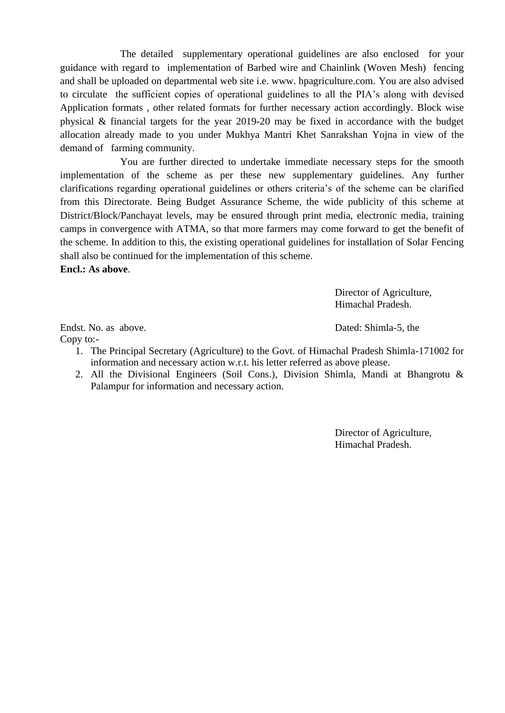The detailed supplementary operational guidelines are also enclosed for your guidance with regard to implementation of Barbed wire and Chainlink (Woven Mesh) fencing and shall be uploaded on departmental web site i.e. www. hpagriculture.com. You are also advised to circulate the sufficient copies of operational guidelines to all the PIA's along with devised Application formats , other related formats for further necessary action accordingly. Block wise physical & financial targets for the year 2019-20 may be fixed in accordance with the budget allocation already made to you under Mukhya Mantri Khet Sanrakshan Yojna in view of the demand of farming community.

You are further directed to undertake immediate necessary steps for the smooth implementation of the scheme as per these new supplementary guidelines. Any further clarifications regarding operational guidelines or others criteria's of the scheme can be clarified from this Directorate. Being Budget Assurance Scheme, the wide publicity of this scheme at District/Block/Panchayat levels, may be ensured through print media, electronic media, training camps in convergence with ATMA, so that more farmers may come forward to get the benefit of the scheme. In addition to this, the existing operational guidelines for installation of Solar Fencing shall also be continued for the implementation of this scheme. **Encl.: As above**.

> Director of Agriculture, Himachal Pradesh.

Endst. No. as above. Dated: Shimla-5, the Copy to:-

- 1. The Principal Secretary (Agriculture) to the Govt. of Himachal Pradesh Shimla-171002 for information and necessary action w.r.t. his letter referred as above please.
- 2. All the Divisional Engineers (Soil Cons.), Division Shimla, Mandi at Bhangrotu & Palampur for information and necessary action.

Director of Agriculture, Himachal Pradesh.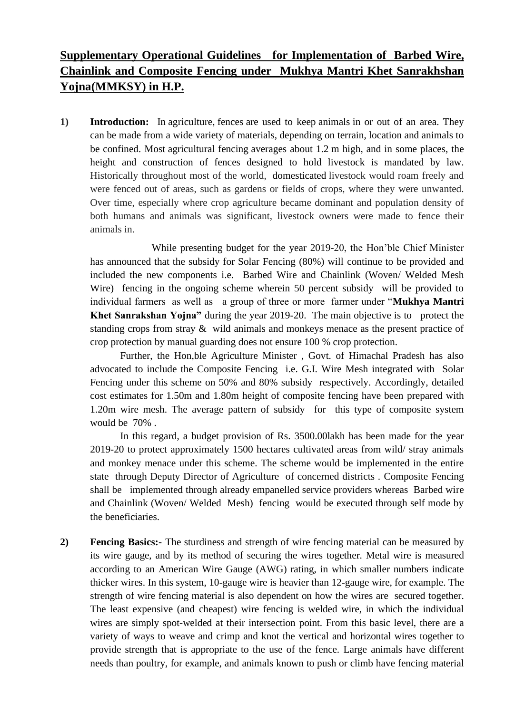# **Supplementary Operational Guidelines for Implementation of Barbed Wire, Chainlink and Composite Fencing under Mukhya Mantri Khet Sanrakhshan Yojna(MMKSY) in H.P.**

**1) Introduction:** In [agriculture,](https://en.wikipedia.org/wiki/Agriculture) [fences](https://en.wikipedia.org/wiki/Fence) are used to keep [animals](https://en.wikipedia.org/wiki/Animal) in or out of an area. They can be made from a wide variety of materials, depending on terrain, location and animals to be confined. Most agricultural fencing averages about 1.2 m high, and in some places, the height and construction of fences designed to hold livestock is mandated by law. Historically throughout most of the world, [domesticated](https://en.wikipedia.org/wiki/Domestication) livestock would roam freely and were fenced out of areas, such as gardens or fields of crops, where they were unwanted. Over time, especially where crop agriculture became dominant and population density of both humans and animals was significant, livestock owners were made to fence their animals in.

While presenting budget for the year 2019-20, the Hon'ble Chief Minister has announced that the subsidy for Solar Fencing (80%) will continue to be provided and included the new components i.e. Barbed Wire and Chainlink (Woven/ Welded Mesh Wire) fencing in the ongoing scheme wherein 50 percent subsidy will be provided to individual farmers as well as a group of three or more farmer under "**Mukhya Mantri Khet Sanrakshan Yojna"** during the year 2019-20. The main objective is to protect the standing crops from stray & wild animals and monkeys menace as the present practice of crop protection by manual guarding does not ensure 100 % crop protection.

Further, the Hon,ble Agriculture Minister , Govt. of Himachal Pradesh has also advocated to include the Composite Fencing i.e. G.I. Wire Mesh integrated with Solar Fencing under this scheme on 50% and 80% subsidy respectively. Accordingly, detailed cost estimates for 1.50m and 1.80m height of composite fencing have been prepared with 1.20m wire mesh. The average pattern of subsidy for this type of composite system would be 70% .

In this regard, a budget provision of Rs. 3500.00lakh has been made for the year 2019-20 to protect approximately 1500 hectares cultivated areas from wild/ stray animals and monkey menace under this scheme. The scheme would be implemented in the entire state through Deputy Director of Agriculture of concerned districts . Composite Fencing shall be implemented through already empanelled service providers whereas Barbed wire and Chainlink (Woven/ Welded Mesh) fencing would be executed through self mode by the beneficiaries.

**2) Fencing Basics:-** The sturdiness and strength of wire fencing material can be measured by its wire gauge, and by its method of securing the wires together. Metal wire is measured according to an American Wire Gauge (AWG) rating, in which smaller numbers indicate thicker wires. In this system, 10-gauge wire is heavier than 12-gauge wire, for example. The strength of wire fencing material is also dependent on how the wires are secured together. The least expensive (and cheapest) wire fencing is welded wire, in which the individual wires are simply spot-welded at their intersection point. From this basic level, there are a variety of ways to weave and crimp and knot the vertical and horizontal wires together to provide strength that is appropriate to the use of the fence. Large animals have different needs than poultry, for example, and animals known to push or climb have fencing material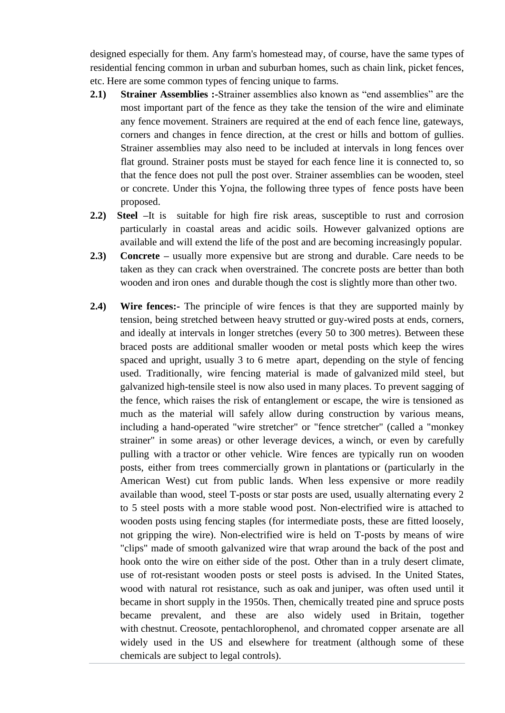designed especially for them. Any farm's homestead may, of course, have the same types of residential fencing common in urban and suburban homes, such as chain link, picket fences, etc. Here are some common types of fencing unique to farms.

- **2.1) Strainer Assemblies :-**Strainer assemblies also known as "end assemblies" are the most important part of the fence as they take the tension of the wire and eliminate any fence movement. Strainers are required at the end of each fence line, gateways, corners and changes in fence direction, at the crest or hills and bottom of gullies. Strainer assemblies may also need to be included at intervals in long fences over flat ground. Strainer posts must be stayed for each fence line it is connected to, so that the fence does not pull the post over. Strainer assemblies can be wooden, steel or concrete. Under this Yojna, the following three types of fence posts have been proposed.
- **2.2) Steel –**It is suitable for high fire risk areas, susceptible to rust and corrosion particularly in coastal areas and acidic soils. However galvanized options are available and will extend the life of the post and are becoming increasingly popular.
- **2.3) Concrete –** usually more expensive but are strong and durable. Care needs to be taken as they can crack when overstrained. The concrete posts are better than both wooden and iron ones and durable though the cost is slightly more than other two.
- **2.4)** Wire fences:- The principle of wire fences is that they are supported mainly by tension, being stretched between heavy [strutted](https://en.wikipedia.org/wiki/Strut) or [guy-wired](https://en.wikipedia.org/wiki/Guy-wire) posts at ends, corners, and ideally at intervals in longer stretches (every 50 to 300 metres). Between these braced posts are additional smaller wooden or metal posts which keep the wires spaced and upright, usually 3 to 6 metre apart, depending on the style of fencing used. Traditionally, wire fencing material is made of [galvanized](https://en.wikipedia.org/wiki/Galvanization) [mild steel,](https://en.wikipedia.org/wiki/Mild_steel) but galvanized high-tensile steel is now also used in many places. To prevent sagging of the fence, which raises the risk of entanglement or escape, the wire is tensioned as much as the material will safely allow during construction by various means, including a hand-operated "wire stretcher" or "fence stretcher" (called a "monkey strainer" in some areas) or other leverage devices, a [winch,](https://en.wikipedia.org/wiki/Winch) or even by carefully pulling with a [tractor](https://en.wikipedia.org/wiki/Tractor) or other vehicle. Wire fences are typically run on wooden posts, either from trees commercially grown in [plantations](https://en.wikipedia.org/wiki/Plantation) or (particularly in the American West) cut from public lands. When less expensive or more readily available than wood, steel [T-posts](https://en.wikipedia.org/wiki/T-post) or [star posts](https://en.wikipedia.org/wiki/Star_post) are used, usually alternating every 2 to 5 steel posts with a more stable wood post. Non-electrified wire is attached to wooden posts using fencing staples (for intermediate posts, these are fitted loosely, not gripping the wire). Non-electrified wire is held on T-posts by means of wire "clips" made of smooth galvanized wire that wrap around the back of the post and hook onto the wire on either side of the post. Other than in a truly desert climate, use of rot-resistant wooden posts or steel posts is advised. In the United States, wood with natural rot resistance, such as [oak](https://en.wikipedia.org/wiki/Oak) and [juniper,](https://en.wikipedia.org/wiki/Juniper) was often used until it became in short supply in the 1950s. Then, chemically treated [pine](https://en.wikipedia.org/wiki/Pine) and [spruce](https://en.wikipedia.org/wiki/Spruce) posts became prevalent, and these are also widely used in [Britain,](https://en.wikipedia.org/wiki/United_Kingdom) together with [chestnut.](https://en.wikipedia.org/wiki/Chestnut) [Creosote,](https://en.wikipedia.org/wiki/Creosote) [pentachlorophenol,](https://en.wikipedia.org/wiki/Pentachlorophenol) and [chromated copper arsenate](https://en.wikipedia.org/wiki/Chromated_copper_arsenate) are all widely used in the US and elsewhere for treatment (although some of these chemicals are subject to legal controls).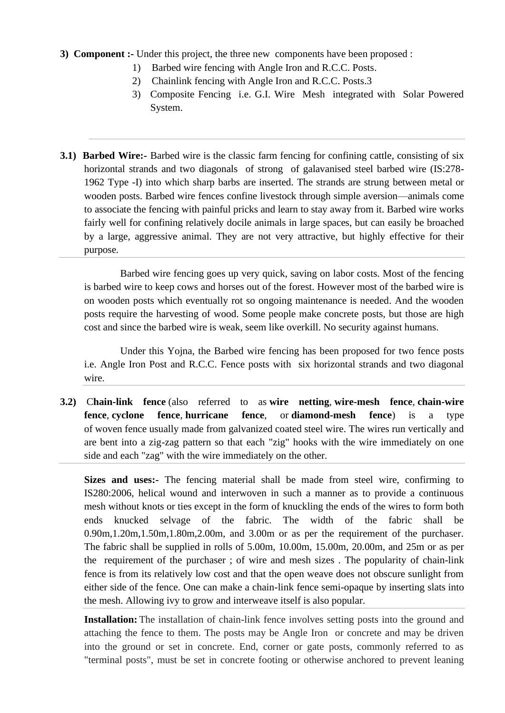- **3) Component :-** Under this project, the three new components have been proposed :
	- 1) Barbed wire fencing with Angle Iron and R.C.C. Posts.
	- 2) Chainlink fencing with Angle Iron and R.C.C. Posts.3
	- 3) Composite Fencing i.e. G.I. Wire Mesh integrated with Solar Powered System.
- **3.1) Barbed Wire:-** Barbed wire is the classic farm fencing for confining cattle, consisting of six horizontal strands and two diagonals of strong of galavanised steel barbed wire (IS:278- 1962 Type -I) into which sharp barbs are inserted. The strands are strung between metal or wooden posts. Barbed wire fences confine livestock through simple aversion—animals come to associate the fencing with painful pricks and learn to stay away from it. Barbed wire works fairly well for confining relatively docile animals in large spaces, but can easily be broached by a large, aggressive animal. They are not very attractive, but highly effective for their purpose.

Barbed wire fencing goes up very quick, saving on labor costs. Most of the fencing is barbed wire to keep cows and horses out of the forest. However most of the barbed wire is on wooden posts which eventually rot so ongoing maintenance is needed. And the wooden posts require the harvesting of wood. Some people make concrete posts, but those are high cost and since the barbed wire is weak, seem like overkill. No security against humans.

Under this Yojna, the Barbed wire fencing has been proposed for two fence posts i.e. Angle Iron Post and R.C.C. Fence posts with six horizontal strands and two diagonal wire.

**3.2)** C**hain-link fence** (also referred to as **wire netting**, **wire-mesh fence**, **chain-wire fence**, **cyclone fence**, **hurricane fence**, or **diamond-mesh fence**) is a type of [woven](https://en.wikipedia.org/wiki/Woven) [fence](https://en.wikipedia.org/wiki/Fence) usually made from [galvanized](https://en.wikipedia.org/wiki/Galvanization) coated [steel](https://en.wikipedia.org/wiki/Steel) wire. The [wires](https://en.wikipedia.org/wiki/Wire) run vertically and are bent into a zig-zag pattern so that each "zig" hooks with the wire immediately on one side and each "zag" with the wire immediately on the other.

**Sizes and uses:-** The fencing material shall be made from steel wire, confirming to IS280:2006, helical wound and interwoven in such a manner as to provide a continuous mesh without knots or ties except in the form of knuckling the ends of the wires to form both ends knucked selvage of the fabric. The width of the fabric shall be 0.90m,1.20m,1.50m,1.80m,2.00m, and 3.00m or as per the requirement of the purchaser. The fabric shall be supplied in rolls of 5.00m, 10.00m, 15.00m, 20.00m, and 25m or as per the requirement of the purchaser ; of wire and mesh sizes . The popularity of chain-link fence is from its relatively low cost and that the open weave does not obscure sunlight from either side of the fence. One can make a chain-link fence semi-opaque by [inserting slats](https://en.wikipedia.org/wiki/Fence_insert) into the mesh. Allowing ivy to grow and interweave itself is also popular.

**Installation:** The installation of chain-link fence involves setting posts into the ground and attaching the fence to them. The posts may be Angle Iron or concrete and may be driven into the ground or set in concrete. End, corner or gate posts, commonly referred to as "terminal posts", must be set in concrete footing or otherwise anchored to prevent leaning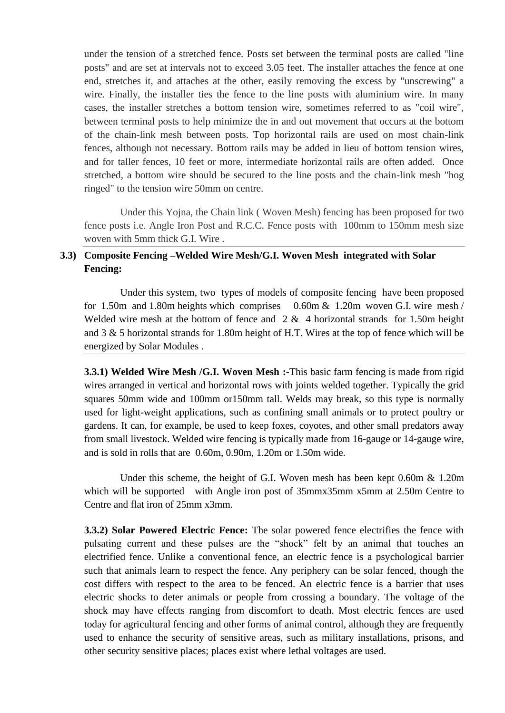under the tension of a stretched fence. Posts set between the terminal posts are called "line posts" and are set at intervals not to exceed 3.05 feet. The installer attaches the fence at one end, stretches it, and attaches at the other, easily removing the excess by "unscrewing" a wire. Finally, the installer ties the fence to the line posts with aluminium wire. In many cases, the installer stretches a bottom tension wire, sometimes referred to as "coil wire", between terminal posts to help minimize the in and out movement that occurs at the bottom of the chain-link mesh between posts. Top horizontal rails are used on most chain-link fences, although not necessary. Bottom rails may be added in lieu of bottom tension wires, and for taller fences, 10 feet or more, intermediate horizontal rails are often added. Once stretched, a bottom wire should be secured to the line posts and the chain-link mesh "hog ringed" to the tension wire 50mm on centre.

Under this Yojna, the Chain link ( Woven Mesh) fencing has been proposed for two fence posts i.e. Angle Iron Post and R.C.C. Fence posts with 100mm to 150mm mesh size woven with 5mm thick G.I. Wire .

# **3.3) Composite Fencing –Welded Wire Mesh/G.I. Woven Mesh integrated with Solar Fencing:**

Under this system, two types of models of composite fencing have been proposed for 1.50m and 1.80m heights which comprises 0.60m & 1.20m woven G.I. wire mesh / Welded wire mesh at the bottom of fence and  $2 \& 4$  horizontal strands for 1.50m height and 3 & 5 horizontal strands for 1.80m height of H.T. Wires at the top of fence which will be energized by Solar Modules .

**3.3.1) Welded Wire Mesh /G.I. Woven Mesh :-**This basic farm fencing is made from rigid wires arranged in vertical and horizontal rows with joints welded together. Typically the grid squares 50mm wide and 100mm or150mm tall. Welds may break, so this type is normally used for light-weight applications, such as confining small animals or to protect poultry or gardens. It can, for example, be used to keep foxes, coyotes, and other small predators away from small livestock. Welded wire fencing is typically made from 16-gauge or 14-gauge wire, and is sold in rolls that are 0.60m, 0.90m, 1.20m or 1.50m wide.

Under this scheme, the height of G.I. Woven mesh has been kept 0.60m & 1.20m which will be supported with Angle iron post of 35mmx35mm x5mm at 2.50m Centre to Centre and flat iron of 25mm x3mm.

**3.3.2) Solar Powered Electric Fence:** The solar powered fence electrifies the fence with pulsating current and these pulses are the "shock" felt by an animal that touches an electrified fence. Unlike a conventional fence, an electric fence is a psychological barrier such that animals learn to respect the fence. Any periphery can be solar fenced, though the cost differs with respect to the area to be fenced. An electric fence is a barrier that uses [electric shocks](https://en.wikipedia.org/wiki/Electric_shock) to deter animals or people from crossing a boundary. The [voltage](https://en.wikipedia.org/wiki/Voltage) of the shock may have effects ranging from discomfort to death. Most electric fences are used today for [agricultural fencing](https://en.wikipedia.org/wiki/Agricultural_fencing) and other forms of animal control, although they are frequently used to enhance the security of sensitive areas, such as military installations, prisons, and other security sensitive places; places exist where lethal voltages are used.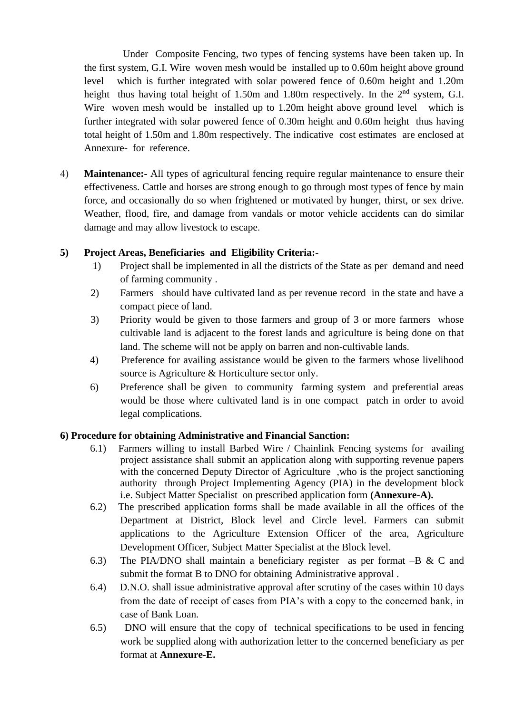Under Composite Fencing, two types of fencing systems have been taken up. In the first system, G.I. Wire woven mesh would be installed up to 0.60m height above ground level which is further integrated with solar powered fence of 0.60m height and 1.20m height thus having total height of 1.50m and 1.80m respectively. In the 2<sup>nd</sup> system, G.I. Wire woven mesh would be installed up to 1.20m height above ground level which is further integrated with solar powered fence of 0.30m height and 0.60m height thus having total height of 1.50m and 1.80m respectively. The indicative cost estimates are enclosed at Annexure- for reference.

4) **Maintenance:-** All types of agricultural fencing require regular maintenance to ensure their effectiveness. Cattle and horses are strong enough to go through most types of fence by main force, and occasionally do so when frightened or motivated by hunger, thirst, or sex drive. Weather, flood, fire, and damage from vandals or motor vehicle accidents can do similar damage and may allow livestock to escape.

# **5) Project Areas, Beneficiaries and Eligibility Criteria:-**

- 1) Project shall be implemented in all the districts of the State as per demand and need of farming community .
- 2) Farmers should have cultivated land as per revenue record in the state and have a compact piece of land.
- 3) Priority would be given to those farmers and group of 3 or more farmers whose cultivable land is adjacent to the forest lands and agriculture is being done on that land. The scheme will not be apply on barren and non-cultivable lands.
- 4) Preference for availing assistance would be given to the farmers whose livelihood source is Agriculture & Horticulture sector only.
- 6) Preference shall be given to community farming system and preferential areas would be those where cultivated land is in one compact patch in order to avoid legal complications.

### **6) Procedure for obtaining Administrative and Financial Sanction:**

- 6.1) Farmers willing to install Barbed Wire / Chainlink Fencing systems for availing project assistance shall submit an application along with supporting revenue papers with the concerned Deputy Director of Agriculture, who is the project sanctioning authority through Project Implementing Agency (PIA) in the development block i.e. Subject Matter Specialist on prescribed application form **(Annexure-A).**
- 6.2) The prescribed application forms shall be made available in all the offices of the Department at District, Block level and Circle level. Farmers can submit applications to the Agriculture Extension Officer of the area, Agriculture Development Officer, Subject Matter Specialist at the Block level.
- 6.3) The PIA/DNO shall maintain a beneficiary register as per format –B & C and submit the format B to DNO for obtaining Administrative approval .
- 6.4) D.N.O. shall issue administrative approval after scrutiny of the cases within 10 days from the date of receipt of cases from PIA's with a copy to the concerned bank, in case of Bank Loan.
- 6.5) DNO will ensure that the copy of technical specifications to be used in fencing work be supplied along with authorization letter to the concerned beneficiary as per format at **Annexure-E.**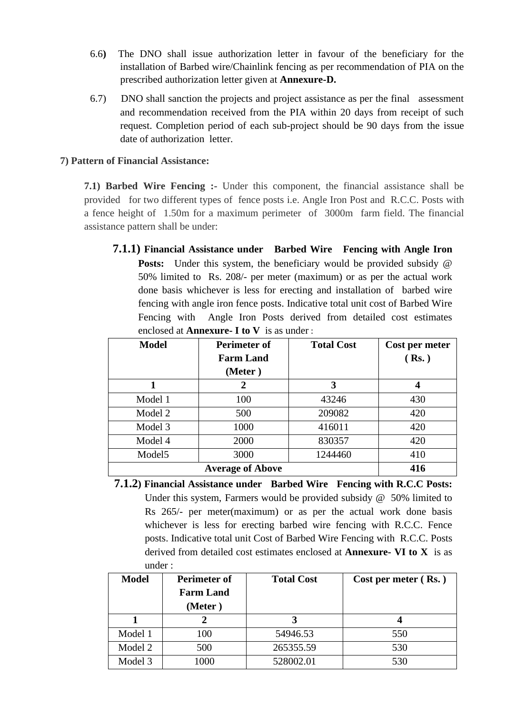- 6.6**)** The DNO shall issue authorization letter in favour of the beneficiary for the installation of Barbed wire/Chainlink fencing as per recommendation of PIA on the prescribed authorization letter given at **Annexure-D.**
- 6.7) DNO shall sanction the projects and project assistance as per the final assessment and recommendation received from the PIA within 20 days from receipt of such request. Completion period of each sub-project should be 90 days from the issue date of authorization letter.

### **7) Pattern of Financial Assistance:**

**7.1) Barbed Wire Fencing :-** Under this component, the financial assistance shall be provided for two different types of fence posts i.e. Angle Iron Post and R.C.C. Posts with a fence height of 1.50m for a maximum perimeter of 3000m farm field. The financial assistance pattern shall be under:

**7.1.1) Financial Assistance under Barbed Wire Fencing with Angle Iron Posts:** Under this system, the beneficiary would be provided subsidy @ 50% limited to Rs. 208/- per meter (maximum) or as per the actual work done basis whichever is less for erecting and installation of barbed wire fencing with angle iron fence posts. Indicative total unit cost of Barbed Wire Fencing with Angle Iron Posts derived from detailed cost estimates enclosed at **Annexure- I to V** is as under :

| <b>Model</b>       | Perimeter of<br><b>Farm Land</b> | <b>Total Cost</b> | Cost per meter<br>(Rs.) |
|--------------------|----------------------------------|-------------------|-------------------------|
|                    | (Meter)                          |                   |                         |
|                    | 2                                | 3                 | 4                       |
| Model 1            | 100                              | 43246             | 430                     |
| Model 2            | 500                              | 209082            | 420                     |
| Model 3            | 1000                             | 416011            | 420                     |
| Model 4            | 2000                             | 830357            | 420                     |
| Model <sub>5</sub> | 3000                             | 1244460           | 410                     |
|                    | <b>Average of Above</b>          |                   | 416                     |

**7.1.2) Financial Assistance under Barbed Wire Fencing with R.C.C Posts:**  Under this system, Farmers would be provided subsidy @ 50% limited to Rs 265/- per meter(maximum) or as per the actual work done basis whichever is less for erecting barbed wire fencing with R.C.C. Fence posts. Indicative total unit Cost of Barbed Wire Fencing with R.C.C. Posts derived from detailed cost estimates enclosed at **Annexure- VI to X** is as under :

| <b>Model</b> | <b>Perimeter of</b><br><b>Farm Land</b><br>(Meter) | <b>Total Cost</b> | Cost per meter $(Rs.)$ |
|--------------|----------------------------------------------------|-------------------|------------------------|
|              | 2                                                  |                   |                        |
| Model 1      | 100                                                | 54946.53          | 550                    |
| Model 2      | 500                                                | 265355.59         | 530                    |
| Model 3      | 1000                                               | 528002.01         | 530                    |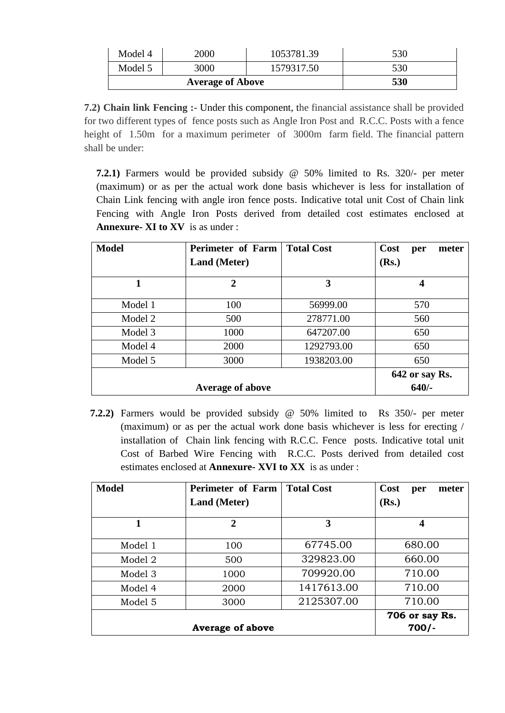| Model 4                 | 2000 | 1053781.39 | 530 |
|-------------------------|------|------------|-----|
| Model 5                 | 3000 | 1579317.50 | 530 |
| <b>Average of Above</b> |      |            | 530 |

**7.2) Chain link Fencing :-** Under this component, the financial assistance shall be provided for two different types of fence posts such as Angle Iron Post and R.C.C. Posts with a fence height of 1.50m for a maximum perimeter of 3000m farm field. The financial pattern shall be under:

**7.2.1)** Farmers would be provided subsidy @ 50% limited to Rs. 320/- per meter (maximum) or as per the actual work done basis whichever is less for installation of Chain Link fencing with angle iron fence posts. Indicative total unit Cost of Chain link Fencing with Angle Iron Posts derived from detailed cost estimates enclosed at **Annexure- XI to XV** is as under :

| <b>Model</b> | Perimeter of Farm       | <b>Total Cost</b> | <b>Cost</b><br>meter<br>per |
|--------------|-------------------------|-------------------|-----------------------------|
|              | <b>Land</b> (Meter)     |                   | (Rs.)                       |
|              | $\overline{2}$          | 3                 | 4                           |
| Model 1      | 100                     | 56999.00          | 570                         |
| Model 2      | 500                     | 278771.00         | 560                         |
| Model 3      | 1000                    | 647207.00         | 650                         |
| Model 4      | 2000                    | 1292793.00        | 650                         |
| Model 5      | 3000                    | 1938203.00        | 650                         |
|              |                         |                   | 642 or say Rs.              |
|              | <b>Average of above</b> |                   | $640/-$                     |

**7.2.2)** Farmers would be provided subsidy @ 50% limited to Rs 350/- per meter (maximum) or as per the actual work done basis whichever is less for erecting / installation of Chain link fencing with R.C.C. Fence posts. Indicative total unit Cost of Barbed Wire Fencing with R.C.C. Posts derived from detailed cost estimates enclosed at **Annexure- XVI to XX** is as under :

| <b>Model</b> | Perimeter of Farm<br><b>Land (Meter)</b> | <b>Total Cost</b> | Cost<br>meter<br>per<br>(Rs.) |
|--------------|------------------------------------------|-------------------|-------------------------------|
| 1            | $\mathbf 2$                              | 3                 | 4                             |
| Model 1      | 100                                      | 67745.00          | 680.00                        |
| Model 2      | 500                                      | 329823.00         | 660.00                        |
| Model 3      | 1000                                     | 709920.00         | 710.00                        |
| Model 4      | 2000                                     | 1417613.00        | 710.00                        |
| Model 5      | 3000                                     | 2125307.00        | 710.00                        |
|              |                                          |                   | 706 or say Rs.                |
|              | <b>Average of above</b>                  |                   | $700/-$                       |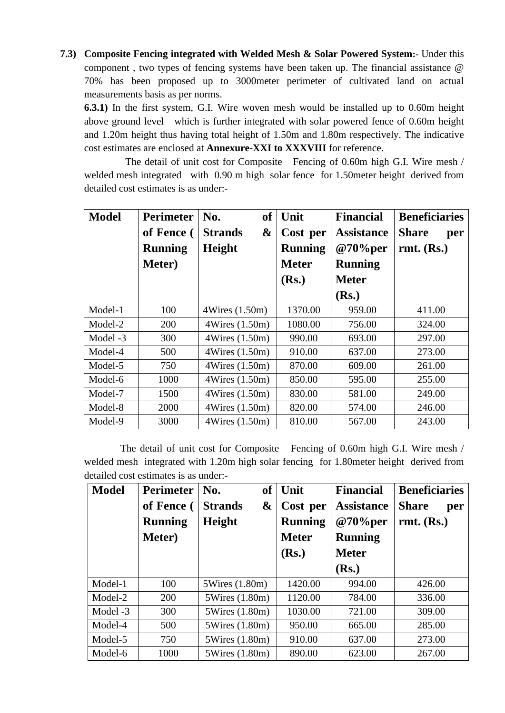**7.3) Composite Fencing integrated with Welded Mesh & Solar Powered System:-** Under this component , two types of fencing systems have been taken up. The financial assistance @ 70% has been proposed up to 3000meter perimeter of cultivated land on actual measurements basis as per norms.

**6.3.1)** In the first system, G.I. Wire woven mesh would be installed up to 0.60m height above ground level which is further integrated with solar powered fence of 0.60m height and 1.20m height thus having total height of 1.50m and 1.80m respectively. The indicative cost estimates are enclosed at **Annexure-XXI to XXXVIII** for reference.

 The detail of unit cost for Composite Fencing of 0.60m high G.I. Wire mesh / welded mesh integrated with 0.90 m high solar fence for 1.50meter height derived from detailed cost estimates is as under:-

| <b>Model</b> | <b>Perimeter</b> | of<br>No.           | Unit           | <b>Financial</b>  | <b>Beneficiaries</b> |
|--------------|------------------|---------------------|----------------|-------------------|----------------------|
|              | of Fence (       | &<br><b>Strands</b> | Cost per       | <b>Assistance</b> | <b>Share</b><br>per  |
|              | <b>Running</b>   | Height              | <b>Running</b> | @70%per           | $rmt.$ (Rs.)         |
|              | Meter)           |                     | <b>Meter</b>   | <b>Running</b>    |                      |
|              |                  |                     | (Rs.)          | <b>Meter</b>      |                      |
|              |                  |                     |                | (Rs.)             |                      |
| Model-1      | 100              | 4Wires (1.50m)      | 1370.00        | 959.00            | 411.00               |
| Model-2      | 200              | 4Wires (1.50m)      | 1080.00        | 756.00            | 324.00               |
| Model -3     | 300              | 4Wires (1.50m)      | 990.00         | 693.00            | 297.00               |
| Model-4      | 500              | 4Wires (1.50m)      | 910.00         | 637.00            | 273.00               |
| Model-5      | 750              | 4Wires (1.50m)      | 870.00         | 609.00            | 261.00               |
| Model-6      | 1000             | 4Wires (1.50m)      | 850.00         | 595.00            | 255.00               |
| Model-7      | 1500             | 4Wires (1.50m)      | 830.00         | 581.00            | 249.00               |
| Model-8      | 2000             | 4Wires (1.50m)      | 820.00         | 574.00            | 246.00               |
| Model-9      | 3000             | 4Wires (1.50m)      | 810.00         | 567.00            | 243.00               |

The detail of unit cost for Composite Fencing of 0.60m high G.I. Wire mesh / welded mesh integrated with 1.20m high solar fencing for 1.80meter height derived from detailed cost estimates is as under:-

| <b>Model</b> | <b>Perimeter</b> | <b>of</b><br>No.    | Unit           | <b>Financial</b>  | <b>Beneficiaries</b> |
|--------------|------------------|---------------------|----------------|-------------------|----------------------|
|              | of Fence (       | &<br><b>Strands</b> | Cost per       | <b>Assistance</b> | <b>Share</b><br>per  |
|              | <b>Running</b>   | <b>Height</b>       | <b>Running</b> | @70%per           | $rmt.$ (Rs.)         |
|              | Meter)           |                     | <b>Meter</b>   | <b>Running</b>    |                      |
|              |                  |                     | (Rs.)          | <b>Meter</b>      |                      |
|              |                  |                     |                | (Rs.)             |                      |
| Model-1      | 100              | 5Wires (1.80m)      | 1420.00        | 994.00            | 426.00               |
| Model-2      | 200              | 5Wires (1.80m)      | 1120.00        | 784.00            | 336.00               |
| Model -3     | 300              | 5Wires (1.80m)      | 1030.00        | 721.00            | 309.00               |
| Model-4      | 500              | 5Wires (1.80m)      | 950.00         | 665.00            | 285.00               |
| Model-5      | 750              | 5Wires (1.80m)      | 910.00         | 637.00            | 273.00               |
| Model-6      | 1000             | 5Wires (1.80m)      | 890.00         | 623.00            | 267.00               |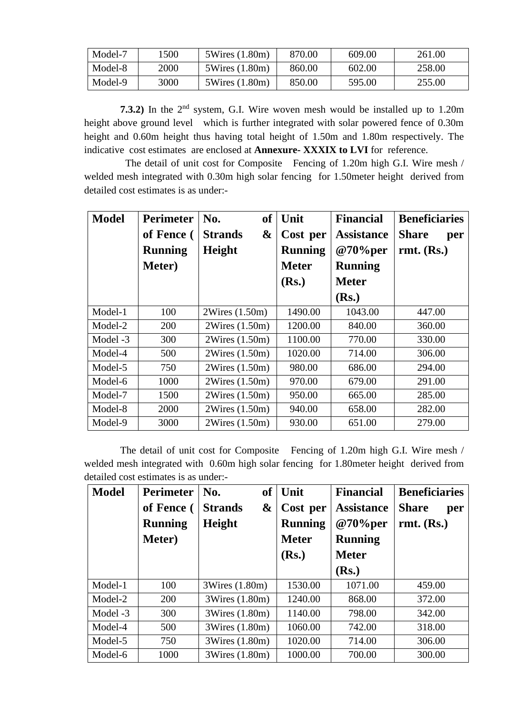| Model-7 | '500 | 5Wires (1.80m) | 870.00 | 609.00 | 261.00 |
|---------|------|----------------|--------|--------|--------|
| Model-8 | 2000 | 5Wires (1.80m) | 860.00 | 602.00 | 258.00 |
| Model-9 | 3000 | 5Wires (1.80m) | 850.00 | 595.00 | 255.00 |

**7.3.2)** In the 2<sup>nd</sup> system, G.I. Wire woven mesh would be installed up to 1.20m height above ground level which is further integrated with solar powered fence of 0.30m height and 0.60m height thus having total height of 1.50m and 1.80m respectively. The indicative cost estimates are enclosed at **Annexure- XXXIX to LVI** for reference.

 The detail of unit cost for Composite Fencing of 1.20m high G.I. Wire mesh / welded mesh integrated with 0.30m high solar fencing for 1.50meter height derived from detailed cost estimates is as under:-

| <b>Model</b> | <b>Perimeter</b><br>of Fence ( | <b>of</b><br>No.<br>&<br><b>Strands</b> | Unit<br>Cost per | <b>Financial</b><br><b>Assistance</b> | <b>Beneficiaries</b><br><b>Share</b><br>per |
|--------------|--------------------------------|-----------------------------------------|------------------|---------------------------------------|---------------------------------------------|
|              | <b>Running</b>                 | Height                                  | <b>Running</b>   | @70%per                               | $rmt.$ (Rs.)                                |
|              | Meter)                         |                                         | <b>Meter</b>     | <b>Running</b>                        |                                             |
|              |                                |                                         | (Rs.)            | <b>Meter</b>                          |                                             |
|              |                                |                                         |                  | (Rs.)                                 |                                             |
| Model-1      | 100                            | 2Wires (1.50m)                          | 1490.00          | 1043.00                               | 447.00                                      |
| Model-2      | 200                            | 2Wires (1.50m)                          | 1200.00          | 840.00                                | 360.00                                      |
| Model -3     | 300                            | 2Wires (1.50m)                          | 1100.00          | 770.00                                | 330.00                                      |
| Model-4      | 500                            | 2Wires (1.50m)                          | 1020.00          | 714.00                                | 306.00                                      |
| Model-5      | 750                            | 2Wires (1.50m)                          | 980.00           | 686.00                                | 294.00                                      |
| Model-6      | 1000                           | 2Wires (1.50m)                          | 970.00           | 679.00                                | 291.00                                      |
| Model-7      | 1500                           | 2Wires (1.50m)                          | 950.00           | 665.00                                | 285.00                                      |
| Model-8      | 2000                           | 2Wires (1.50m)                          | 940.00           | 658.00                                | 282.00                                      |
| Model-9      | 3000                           | 2Wires (1.50m)                          | 930.00           | 651.00                                | 279.00                                      |

The detail of unit cost for Composite Fencing of 1.20m high G.I. Wire mesh / welded mesh integrated with 0.60m high solar fencing for 1.80meter height derived from detailed cost estimates is as under:-

| <b>Model</b> | <b>Perimeter</b> | <b>of</b><br>No.    | Unit           | <b>Financial</b>  | <b>Beneficiaries</b> |
|--------------|------------------|---------------------|----------------|-------------------|----------------------|
|              | of Fence (       | &<br><b>Strands</b> | Cost per       | <b>Assistance</b> | <b>Share</b><br>per  |
|              | <b>Running</b>   | <b>Height</b>       | <b>Running</b> | @70%per           | $rmt.$ (Rs.)         |
|              | Meter)           |                     | <b>Meter</b>   | <b>Running</b>    |                      |
|              |                  |                     | (Rs.)          | <b>Meter</b>      |                      |
|              |                  |                     |                | (Rs.)             |                      |
| Model-1      | 100              | 3Wires (1.80m)      | 1530.00        | 1071.00           | 459.00               |
| Model-2      | 200              | 3Wires (1.80m)      | 1240.00        | 868.00            | 372.00               |
| Model -3     | 300              | 3Wires (1.80m)      | 1140.00        | 798.00            | 342.00               |
| Model-4      | 500              | 3Wires (1.80m)      | 1060.00        | 742.00            | 318.00               |
| Model-5      | 750              | 3Wires (1.80m)      | 1020.00        | 714.00            | 306.00               |
| Model-6      | 1000             | 3Wires (1.80m)      | 1000.00        | 700.00            | 300.00               |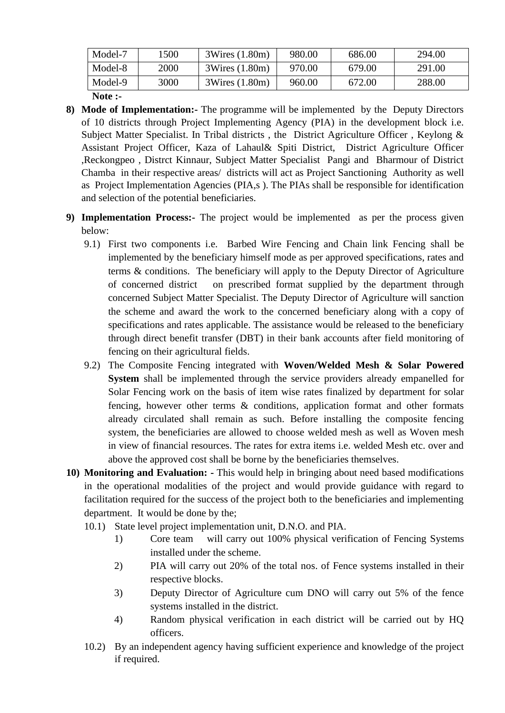| Model-7 | .500 | 3Wires (1.80m) | 980.00 | 686.00 | 294.00 |
|---------|------|----------------|--------|--------|--------|
| Model-8 | 2000 | 3Wires (1.80m) | 970.00 | 679.00 | 291.00 |
| Model-9 | 3000 | 3Wires (1.80m) | 960.00 | 672.00 | 288.00 |

**Note :-**

- **8) Mode of Implementation:-** The programme will be implemented by the Deputy Directors of 10 districts through Project Implementing Agency (PIA) in the development block i.e. Subject Matter Specialist. In Tribal districts, the District Agriculture Officer, Keylong & Assistant Project Officer, Kaza of Lahaul& Spiti District, District Agriculture Officer ,Reckongpeo , Distrct Kinnaur, Subject Matter Specialist Pangi and Bharmour of District Chamba in their respective areas/ districts will act as Project Sanctioning Authority as well as Project Implementation Agencies (PIA,s ). The PIAs shall be responsible for identification and selection of the potential beneficiaries.
- **9) Implementation Process:-** The project would be implemented as per the process given below:
	- 9.1) First two components i.e. Barbed Wire Fencing and Chain link Fencing shall be implemented by the beneficiary himself mode as per approved specifications, rates and terms & conditions. The beneficiary will apply to the Deputy Director of Agriculture of concerned district on prescribed format supplied by the department through concerned Subject Matter Specialist. The Deputy Director of Agriculture will sanction the scheme and award the work to the concerned beneficiary along with a copy of specifications and rates applicable. The assistance would be released to the beneficiary through direct benefit transfer (DBT) in their bank accounts after field monitoring of fencing on their agricultural fields.
	- 9.2) The Composite Fencing integrated with **Woven/Welded Mesh & Solar Powered System** shall be implemented through the service providers already empanelled for Solar Fencing work on the basis of item wise rates finalized by department for solar fencing, however other terms & conditions, application format and other formats already circulated shall remain as such. Before installing the composite fencing system, the beneficiaries are allowed to choose welded mesh as well as Woven mesh in view of financial resources. The rates for extra items i.e. welded Mesh etc. over and above the approved cost shall be borne by the beneficiaries themselves.
- **10) Monitoring and Evaluation: -** This would help in bringing about need based modifications in the operational modalities of the project and would provide guidance with regard to facilitation required for the success of the project both to the beneficiaries and implementing department. It would be done by the;
	- 10.1) State level project implementation unit, D.N.O. and PIA.
		- 1) Core team will carry out 100% physical verification of Fencing Systems installed under the scheme.
		- 2) PIA will carry out 20% of the total nos. of Fence systems installed in their respective blocks.
		- 3) Deputy Director of Agriculture cum DNO will carry out 5% of the fence systems installed in the district.
		- 4) Random physical verification in each district will be carried out by HQ officers.
	- 10.2) By an independent agency having sufficient experience and knowledge of the project if required.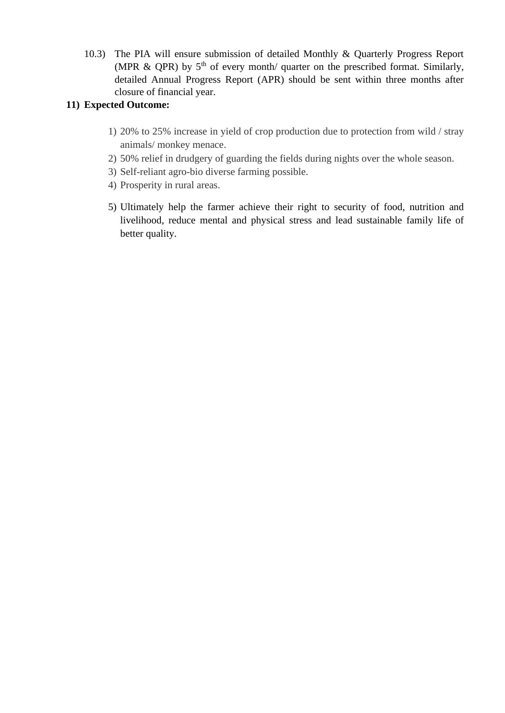10.3) The PIA will ensure submission of detailed Monthly & Quarterly Progress Report (MPR & QPR) by  $5<sup>th</sup>$  of every month/ quarter on the prescribed format. Similarly, detailed Annual Progress Report (APR) should be sent within three months after closure of financial year.

# **11) Expected Outcome:**

- 1) 20% to 25% increase in yield of crop production due to protection from wild / stray animals/ monkey menace.
- 2) 50% relief in drudgery of guarding the fields during nights over the whole season.
- 3) Self-reliant agro-bio diverse farming possible.
- 4) Prosperity in rural areas.
- 5) Ultimately help the farmer achieve their right to security of food, nutrition and livelihood, reduce mental and physical stress and lead sustainable family life of better quality.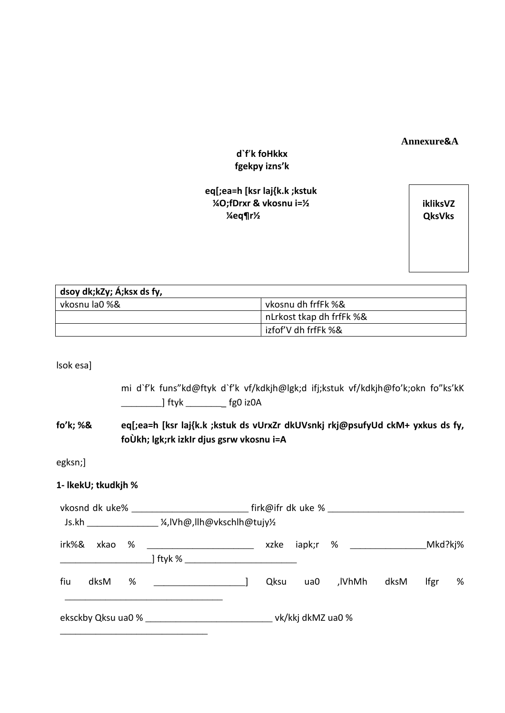### **Annexure&A**

# **d`f**'**k foHkkx fgekpy izns'k**

# **eq[;ea=h [ksr laj{k.k ;kstuk ¼O;fDrxr & vkosnu i=½ ¼eq¶r½**

**ikliksVZ QksVks**

| dsoy dk;kZy; Á;ksx ds fy, |                          |
|---------------------------|--------------------------|
| vkosnu la0 %&             | vkosnu dh frfFk %&       |
|                           | nLrkost tkap dh frfFk %& |
|                           | izfof'V dh frfFk %&      |

lsok esa]

|                                             |                                                                                                                           | mi d`f'k funs"kd@ftyk d`f'k vf/kdkjh@lgk;d ifj;kstuk vf/kdkjh@fo'k;okn fo"ks'kK<br>______________] ftyk ___________ fg0 iz0A |  |  |  |  |                      |  |                          |  |
|---------------------------------------------|---------------------------------------------------------------------------------------------------------------------------|------------------------------------------------------------------------------------------------------------------------------|--|--|--|--|----------------------|--|--------------------------|--|
| fo'k; %&                                    | eq[;ea=h [ksr laj{k.k ;kstuk ds vUrxZr dkUVsnkj rkj@psufyUd ckM+ yxkus ds fy,<br>foÙkh; lgk;rk izklr djus gsrw vkosnu i=A |                                                                                                                              |  |  |  |  |                      |  |                          |  |
| egksn;]                                     |                                                                                                                           |                                                                                                                              |  |  |  |  |                      |  |                          |  |
| 1- IkekU; tkudkjh %                         |                                                                                                                           |                                                                                                                              |  |  |  |  |                      |  |                          |  |
| Js.kh ____________ ¼,IVh@,IIh@vkschIh@tujy½ |                                                                                                                           |                                                                                                                              |  |  |  |  |                      |  |                          |  |
|                                             |                                                                                                                           |                                                                                                                              |  |  |  |  |                      |  |                          |  |
| fiu                                         |                                                                                                                           |                                                                                                                              |  |  |  |  | Qksu ua0 ,lVhMh dksM |  | $If \text{gr} \qquad \%$ |  |
|                                             |                                                                                                                           |                                                                                                                              |  |  |  |  |                      |  |                          |  |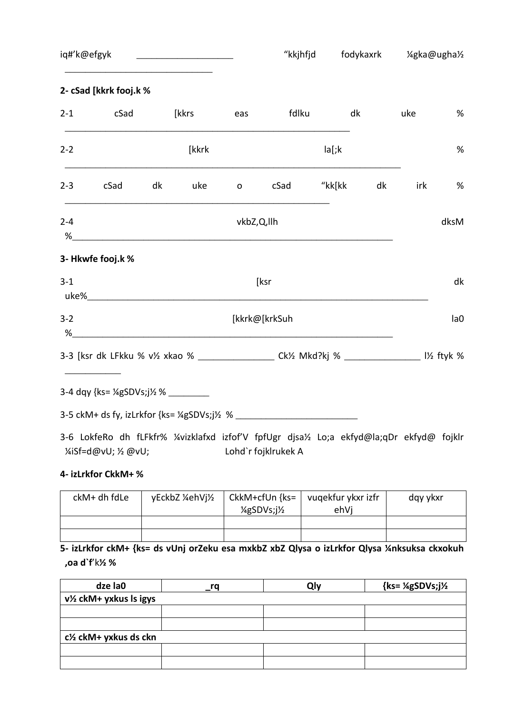iq#'k@efgyk \_\_\_\_\_\_\_\_\_\_\_\_\_\_\_\_\_\_\_\_\_\_\_ "kkjhfjd fodykaxrk ¼gka@ugha½

# **2- cSad [kkrk fooj.k %**

\_\_\_\_\_\_\_\_\_\_\_\_\_\_\_\_\_\_\_\_\_\_\_\_\_\_\_\_\_

| $2 - 1$      | cSad                                                                                                                      |    | [kkrs | eas        |                  | fdlku  | dk | uke | $\%$ |
|--------------|---------------------------------------------------------------------------------------------------------------------------|----|-------|------------|------------------|--------|----|-----|------|
| $2 - 2$      |                                                                                                                           |    | [kkrk |            |                  | la[:k] |    |     | $\%$ |
| $2 - 3$      | cSad                                                                                                                      | dk | uke   |            | o cSad "kk[kk dk |        |    | irk | %    |
| $2 - 4$<br>% |                                                                                                                           |    |       | vkbZ,Q,llh |                  |        |    |     | dksM |
|              | 3- Hkwfe fooj.k %                                                                                                         |    |       |            |                  |        |    |     |      |
| $3 - 1$      |                                                                                                                           |    |       |            | [ksr             |        |    |     | dk   |
| $3 - 2$      | $\%$                                                                                                                      |    |       |            | [kkrk@[krkSuh    |        |    |     | la0  |
|              | 3-3 [ksr dk LFkku % v <sup>y</sup> xkao % _________________ Ck <sup>y</sup> Mkd?kj % ______________ 1 <sup>y</sup> ftyk % |    |       |            |                  |        |    |     |      |
|              |                                                                                                                           |    |       |            |                  |        |    |     |      |
|              | 3-5 ckM+ ds fy, izLrkfor {ks= 1/4gSDVs;j1/2 % __________________________________                                          |    |       |            |                  |        |    |     |      |

3-6 LokfeRo dh fLFkfr% ¼vizklafxd izfof'V fpfUgr djsa½ Lo;a ekfyd@la;qDr ekfyd@ fojklr ¼iSf=d@vU; ½ @vU; Lohd`r fojklrukek A

#### **4- izLrkfor CkkM+ %**

| ckM+ dh fdLe | yEckbZ ¼ehVj½ | CkkM+cfUn {ks=<br>$\frac{1}{4}$ gSDVs; $\frac{1}{2}$ | vugekfur ykxr izfr<br>ehVi | dgy ykxr |
|--------------|---------------|------------------------------------------------------|----------------------------|----------|
|              |               |                                                      |                            |          |
|              |               |                                                      |                            |          |

**5- izLrkfor ckM+ {ks= ds vUnj orZeku esa mxkbZ xbZ Qlysa o izLrkfor Qlysa ¼nksuksa ckxokuh ,oa d`f**'k**½ %**

| dze la0                                         | rq | Qly | $\{ks = \frac{1}{4}gSDVs\}$ |  |  |  |
|-------------------------------------------------|----|-----|-----------------------------|--|--|--|
| v1/2 ckM+ yxkus ls igys                         |    |     |                             |  |  |  |
|                                                 |    |     |                             |  |  |  |
|                                                 |    |     |                             |  |  |  |
| c <sup>1</sup> / <sub>2</sub> ckM+ yxkus ds ckn |    |     |                             |  |  |  |
|                                                 |    |     |                             |  |  |  |
|                                                 |    |     |                             |  |  |  |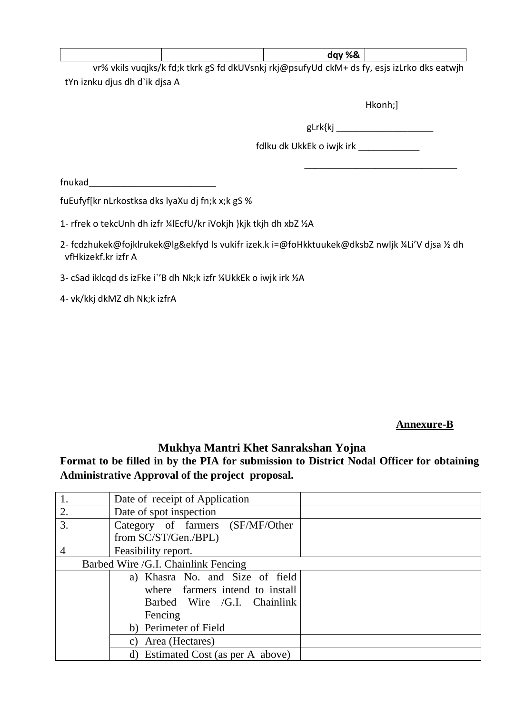|                            |                                                                                                                                                                                                                                                                     | dgy %& |   |
|----------------------------|---------------------------------------------------------------------------------------------------------------------------------------------------------------------------------------------------------------------------------------------------------------------|--------|---|
| $ -$<br>.<br>$\sim$ $\sim$ | $\sim$ 0.000 $\sim$ 0.000 $\sim$ 0.000 $\sim$ 0.000 $\sim$ 0.000 $\sim$ 0.000 $\sim$ 0.000 $\sim$ 0.000 $\sim$ 0.000 $\sim$ 0.000 $\sim$ 0.000 $\sim$ 0.000 $\sim$ 0.000 $\sim$ 0.000 $\sim$ 0.000 $\sim$ 0.000 $\sim$ 0.000 $\sim$ 0.000 $\sim$ 0.000 $\sim$ 0.000 |        | . |

vr% vkils vuqjks/k fd;k tkrk gS fd dkUVsnkj rkj@psufyUd ckM+ ds fy, esjs izLrko dks eatwjh tYn iznku djus dh d`ik djsa A

Hkonh;]

\_\_\_\_\_\_\_\_\_\_\_\_\_\_\_\_\_\_\_\_\_\_\_\_\_\_\_\_\_\_

gLrk{kj \_\_\_\_\_\_\_\_\_\_\_\_\_\_\_\_\_\_\_\_\_\_\_\_

fdlku dk UkkEk o iwjk irk \_\_\_\_\_\_\_\_\_\_\_\_

 $f$ nukad $\rule{1em}{0.15mm}$ 

fuEufyf[kr nLrkostksa dks lyaXu dj fn;k x;k gS %

1- rfrek o tekcUnh dh izfr ¼lEcfU/kr iVokjh }kjk tkjh dh xbZ ½A

2- fcdzhukek@fojklrukek@lg&ekfyd ls vukifr izek.k i=@foHkktuukek@dksbZ nwljk ¼Li'V djsa ½ dh vfHkizekf.kr izfr A

3- cSad iklcqd ds izFke i`'B dh Nk;k izfr ¼UkkEk o iwjk irk ½A

4- vk/kkj dkMZ dh Nk;k izfrA

# **Annexure-B**

# **Mukhya Mantri Khet Sanrakshan Yojna**

**Format to be filled in by the PIA for submission to District Nodal Officer for obtaining Administrative Approval of the project proposal.**

|    | Date of receipt of Application      |  |
|----|-------------------------------------|--|
| 2. | Date of spot inspection             |  |
| 3. | Category of farmers (SF/MF/Other    |  |
|    | from SC/ST/Gen./BPL)                |  |
| 4  | Feasibility report.                 |  |
|    | Barbed Wire /G.I. Chainlink Fencing |  |
|    | a) Khasra No. and Size of field     |  |
|    | where farmers intend to install     |  |
|    | Barbed Wire /G.I. Chainlink         |  |
|    | Fencing                             |  |
|    | b) Perimeter of Field               |  |
|    | c) Area (Hectares)                  |  |
|    | d) Estimated Cost (as per A above)  |  |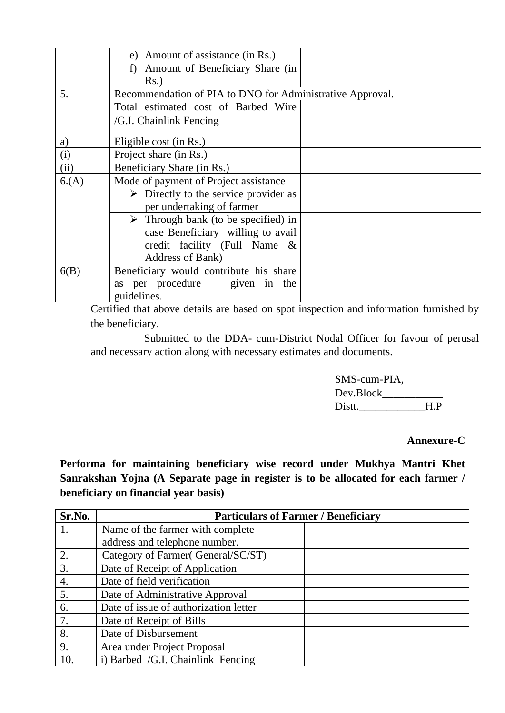|      | e) Amount of assistance (in Rs.)                          |  |
|------|-----------------------------------------------------------|--|
|      | f) Amount of Beneficiary Share (in                        |  |
|      | $Rs.$ )                                                   |  |
| 5.   | Recommendation of PIA to DNO for Administrative Approval. |  |
|      | Total estimated cost of Barbed Wire                       |  |
|      | /G.I. Chainlink Fencing                                   |  |
| a)   | Eligible cost (in Rs.)                                    |  |
| (i)  | Project share (in Rs.)                                    |  |
| (ii) | Beneficiary Share (in Rs.)                                |  |
| 6(A) | Mode of payment of Project assistance                     |  |
|      | $\triangleright$ Directly to the service provider as      |  |
|      | per undertaking of farmer                                 |  |
|      | $\triangleright$ Through bank (to be specified) in        |  |
|      | case Beneficiary willing to avail                         |  |
|      | credit facility (Full Name &                              |  |
|      | Address of Bank)                                          |  |
| 6(B) | Beneficiary would contribute his share                    |  |
|      | per procedure given in the<br>as                          |  |
|      | guidelines.                                               |  |

Certified that above details are based on spot inspection and information furnished by the beneficiary.

Submitted to the DDA- cum-District Nodal Officer for favour of perusal and necessary action along with necessary estimates and documents.

> SMS-cum-PIA, Dev.Block\_\_\_\_\_\_\_\_\_\_\_ Distt.\_\_\_\_\_\_\_\_\_\_\_\_H.P

# **Annexure-C**

**Performa for maintaining beneficiary wise record under Mukhya Mantri Khet Sanrakshan Yojna (A Separate page in register is to be allocated for each farmer / beneficiary on financial year basis)**

| Sr.No. | <b>Particulars of Farmer / Beneficiary</b> |  |
|--------|--------------------------------------------|--|
|        | Name of the farmer with complete           |  |
|        | address and telephone number.              |  |
| 2.     | Category of Farmer (General/SC/ST)         |  |
| 3.     | Date of Receipt of Application             |  |
| 4.     | Date of field verification                 |  |
| 5.     | Date of Administrative Approval            |  |
| 6.     | Date of issue of authorization letter      |  |
| 7.     | Date of Receipt of Bills                   |  |
| 8.     | Date of Disbursement                       |  |
| 9.     | Area under Project Proposal                |  |
| 10.    | i) Barbed /G.I. Chainlink Fencing          |  |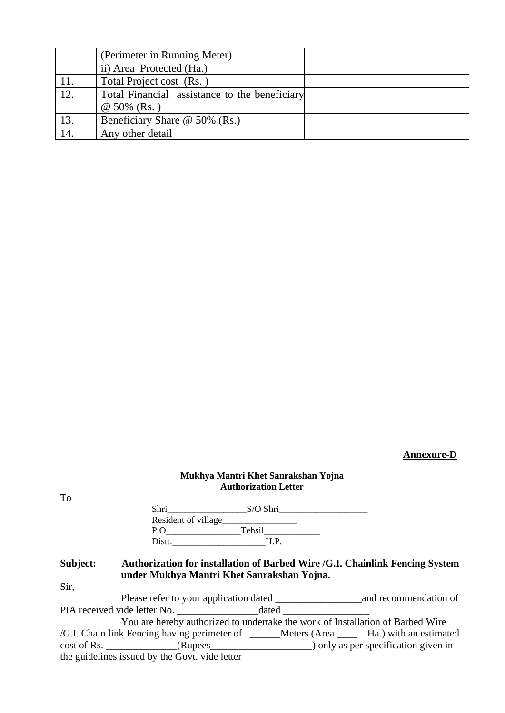|     | (Perimeter in Running Meter)                  |  |
|-----|-----------------------------------------------|--|
|     | ii) Area Protected (Ha.)                      |  |
| 11. | Total Project cost (Rs.)                      |  |
| 12. | Total Financial assistance to the beneficiary |  |
|     | $@ 50\% (Rs.)$                                |  |
| 13. | Beneficiary Share @ 50% (Rs.)                 |  |
| 14. | Any other detail                              |  |

# **Annexure-D**

### **Mukhya Mantri Khet Sanrakshan Yojna Authorization Letter**

|          | Shri que de la contradición de la contradición de la contradición de la contradición de la contradición de la contradición de la contradición de la contradición de la contradición de la contradición de la contradición de l | S/O Shri |  |
|----------|--------------------------------------------------------------------------------------------------------------------------------------------------------------------------------------------------------------------------------|----------|--|
|          |                                                                                                                                                                                                                                |          |  |
|          | P.O Tehsil                                                                                                                                                                                                                     |          |  |
|          | Distt. H.P.                                                                                                                                                                                                                    |          |  |
| Subject: | Authorization for installation of Barbed Wire /G.I. Chainlink Fencing System<br>under Mukhya Mantri Khet Sanrakshan Yojna.                                                                                                     |          |  |
| Sir.     |                                                                                                                                                                                                                                |          |  |
|          |                                                                                                                                                                                                                                |          |  |
|          |                                                                                                                                                                                                                                |          |  |
|          | You are hereby authorized to undertake the work of Installation of Barbed Wire                                                                                                                                                 |          |  |
|          | /G.I. Chain link Fencing having perimeter of ______Meters (Area _____ Ha.) with an estimated                                                                                                                                   |          |  |
|          | cost of Rs. _______________(Rupees______________________) only as per specification given in                                                                                                                                   |          |  |
|          | the guidelines issued by the Govt. vide letter                                                                                                                                                                                 |          |  |

# To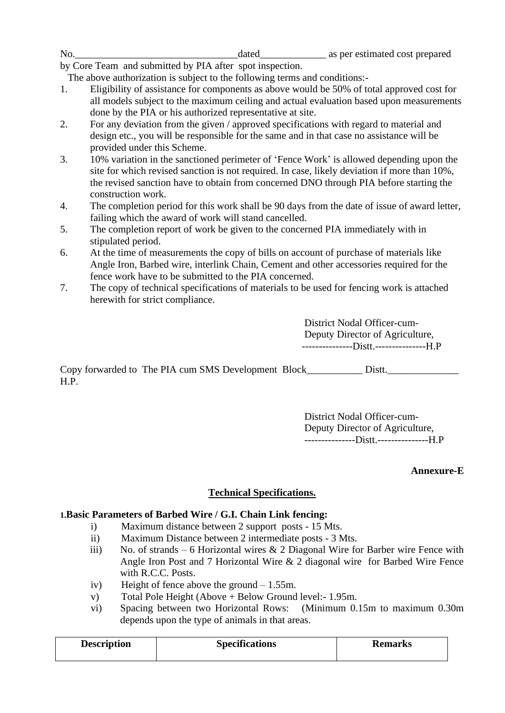| No |  | estimated cost prepared<br>ner<br>as |
|----|--|--------------------------------------|
|----|--|--------------------------------------|

by Core Team and submitted by PIA after spot inspection.

The above authorization is subject to the following terms and conditions:-

- 1. Eligibility of assistance for components as above would be 50% of total approved cost for all models subject to the maximum ceiling and actual evaluation based upon measurements done by the PIA or his authorized representative at site.
- 2. For any deviation from the given / approved specifications with regard to material and design etc., you will be responsible for the same and in that case no assistance will be provided under this Scheme.
- 3. 10% variation in the sanctioned perimeter of 'Fence Work' is allowed depending upon the site for which revised sanction is not required. In case, likely deviation if more than 10%, the revised sanction have to obtain from concerned DNO through PIA before starting the construction work.
- 4. The completion period for this work shall be 90 days from the date of issue of award letter, failing which the award of work will stand cancelled.
- 5. The completion report of work be given to the concerned PIA immediately with in stipulated period.
- 6. At the time of measurements the copy of bills on account of purchase of materials like Angle Iron, Barbed wire, interlink Chain, Cement and other accessories required for the fence work have to be submitted to the PIA concerned.
- 7. The copy of technical specifications of materials to be used for fencing work is attached herewith for strict compliance.

District Nodal Officer-cum-Deputy Director of Agriculture, ---------------Distt.---------------H.P

Copy forwarded to The PIA cum SMS Development Block\_\_\_\_\_\_\_\_\_\_\_ Distt.\_\_\_\_\_\_\_\_\_\_\_\_\_\_ H.P.

> District Nodal Officer-cum-Deputy Director of Agriculture, ---------------Distt.---------------H.P

### **Annexure-E**

### **Technical Specifications.**

### **1.Basic Parameters of Barbed Wire / G.I. Chain Link fencing:**

- i) Maximum distance between 2 support posts 15 Mts.
- ii) Maximum Distance between 2 intermediate posts 3 Mts.
- iii) No. of strands 6 Horizontal wires  $\&$  2 Diagonal Wire for Barber wire Fence with Angle Iron Post and 7 Horizontal Wire & 2 diagonal wire for Barbed Wire Fence with R.C.C. Posts.
- iv) Height of fence above the ground 1.55m.
- v) Total Pole Height (Above + Below Ground level:- 1.95m.
- vi) Spacing between two Horizontal Rows: (Minimum 0.15m to maximum 0.30m depends upon the type of animals in that areas.

| <b>Description</b> | <b>Specifications</b> | <b>Remarks</b> |
|--------------------|-----------------------|----------------|
|                    |                       |                |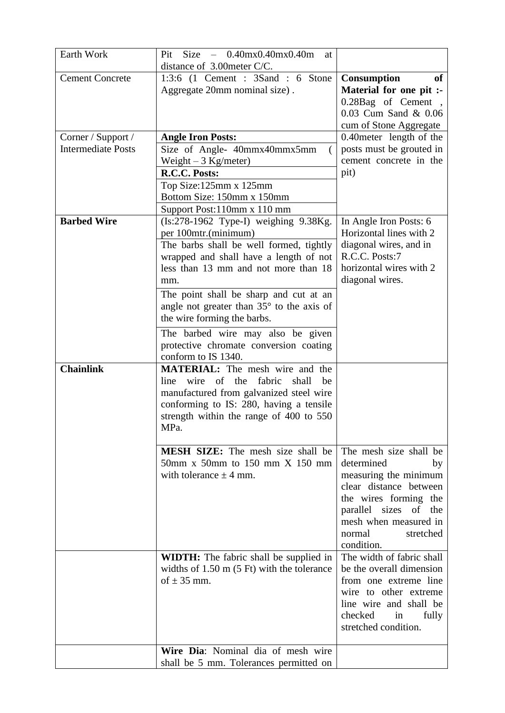| Earth Work                | $Size = 0.40 \text{mx} 0.40 \text{mx} 0.40 \text{m}$<br>Pit<br>at |                             |
|---------------------------|-------------------------------------------------------------------|-----------------------------|
|                           | distance of 3.00meter C/C.                                        |                             |
| <b>Cement Concrete</b>    | 1:3:6 $(1$ Cement : 3Sand : 6 Stone                               | <b>Consumption</b><br>of    |
|                           | Aggregate 20mm nominal size).                                     | Material for one pit :-     |
|                           |                                                                   | 0.28Bag of Cement,          |
|                           |                                                                   | 0.03 Cum Sand & 0.06        |
|                           |                                                                   | cum of Stone Aggregate      |
| Corner / Support /        | <b>Angle Iron Posts:</b>                                          | 0.40 meter length of the    |
| <b>Intermediate Posts</b> | Size of Angle- 40mmx40mmx5mm                                      | posts must be grouted in    |
|                           | Weight $-3$ Kg/meter)                                             | cement concrete in the      |
|                           | R.C.C. Posts:                                                     | pit)                        |
|                           | Top Size:125mm x 125mm                                            |                             |
|                           | Bottom Size: 150mm x 150mm                                        |                             |
|                           | Support Post:110mm x 110 mm                                       |                             |
| <b>Barbed Wire</b>        | $(Is:278-1962$ Type-I) weighing $9.38Kg$ .                        | In Angle Iron Posts: 6      |
|                           | per 100mtr.(minimum)                                              | Horizontal lines with 2     |
|                           | The barbs shall be well formed, tightly                           | diagonal wires, and in      |
|                           | wrapped and shall have a length of not                            | R.C.C. Posts:7              |
|                           | less than 13 mm and not more than 18                              | horizontal wires with 2     |
|                           | mm.                                                               | diagonal wires.             |
|                           | The point shall be sharp and cut at an                            |                             |
|                           | angle not greater than $35^{\circ}$ to the axis of                |                             |
|                           | the wire forming the barbs.                                       |                             |
|                           | The barbed wire may also be given                                 |                             |
|                           | protective chromate conversion coating                            |                             |
|                           | conform to IS 1340.                                               |                             |
| <b>Chainlink</b>          | <b>MATERIAL:</b> The mesh wire and the                            |                             |
|                           | wire of the<br>fabric<br>shall<br>line<br>be                      |                             |
|                           | manufactured from galvanized steel wire                           |                             |
|                           | conforming to IS: 280, having a tensile                           |                             |
|                           | strength within the range of 400 to 550                           |                             |
|                           | MPa.                                                              |                             |
|                           | <b>MESH SIZE:</b> The mesh size shall be                          | The mesh size shall be      |
|                           | $50$ mm x $50$ mm to $150$ mm X $150$ mm                          | determined<br>by            |
|                           | with tolerance $\pm$ 4 mm.                                        | measuring the minimum       |
|                           |                                                                   | clear distance between      |
|                           |                                                                   | the wires forming the       |
|                           |                                                                   | parallel sizes<br>of<br>the |
|                           |                                                                   | mesh when measured in       |
|                           |                                                                   | normal<br>stretched         |
|                           |                                                                   | condition.                  |
|                           | <b>WIDTH:</b> The fabric shall be supplied in                     | The width of fabric shall   |
|                           | widths of $1.50 \text{ m}$ (5 Ft) with the tolerance              | be the overall dimension    |
|                           | of $\pm$ 35 mm.                                                   | from one extreme line       |
|                           |                                                                   | wire to other extreme       |
|                           |                                                                   | line wire and shall be      |
|                           |                                                                   | checked<br>in<br>fully      |
|                           |                                                                   | stretched condition.        |
|                           |                                                                   |                             |
|                           | Wire Dia: Nominal dia of mesh wire                                |                             |
|                           | shall be 5 mm. Tolerances permitted on                            |                             |